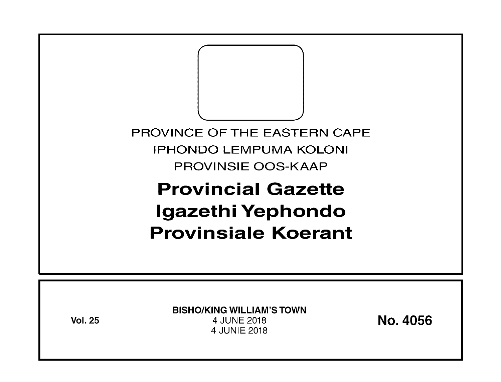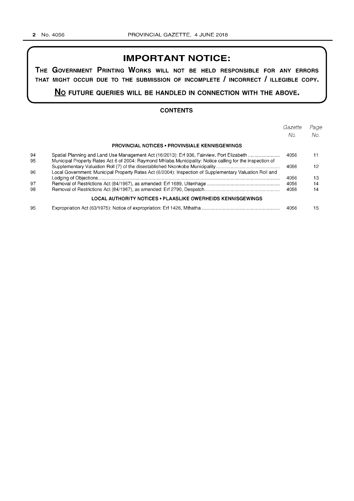# **IMPORTANT NOTICE:**

**THE GOVERNMENT PRINTING WORKS WILL NOT BE HELD RESPONSIBLE FOR ANY ERRORS THAT MIGHT OCCUR DUE TO THE SUBMISSION OF INCOMPLETE I INCORRECT I ILLEGIBLE COPY.** 

**No FUTURE QUERIES WILL BE HANDLED IN CONNECTION WITH THE ABOVE.** 

### **CONTENTS**

|    |                                                                                                           | Gazette | Page |
|----|-----------------------------------------------------------------------------------------------------------|---------|------|
|    |                                                                                                           | No.     | No.  |
|    | <b>PROVINCIAL NOTICES • PROVINSIALE KENNISGEWINGS</b>                                                     |         |      |
| 94 | Spatial Planning and Land Use Management Act (16/2013): Erf 936, Fairview, Port Elizabeth                 | 4056    | 11   |
| 95 | Municipal Property Rates Act 6 of 2004: Raymond Mhlaba Municipality: Notice calling for the inspection of |         |      |
|    |                                                                                                           | 4056    | 12   |
| 96 | Local Government: Municipal Property Rates Act (6/2004): Inspection of Supplementary Valuation Roll and   |         |      |
|    |                                                                                                           | 4056    | 13   |
| 97 |                                                                                                           | 4056    | 14   |
| 98 |                                                                                                           | 4056    | 14   |
|    | LOCAL AUTHORITY NOTICES • PLAASLIKE OWERHEIDS KENNISGEWINGS                                               |         |      |
| 95 |                                                                                                           | 4056    | 15   |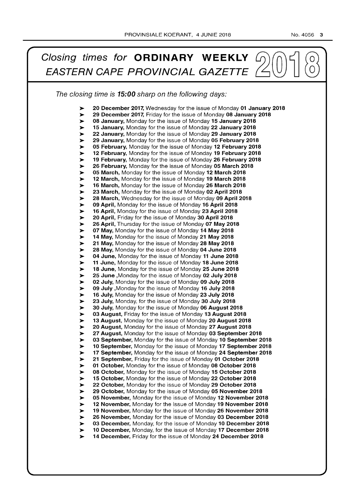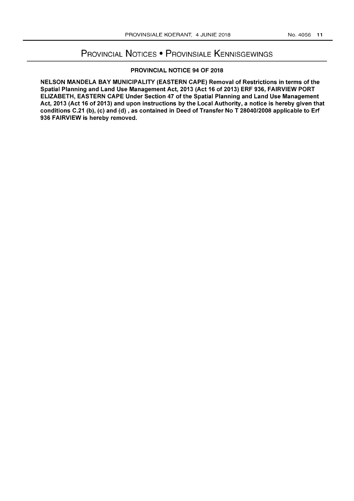# PROVINCIAL NOTICES • PROVINSIALE KENNISGEWINGS

## PROVINCIAL NOTICE 94 OF 2018

NELSON MANDELA BAY MUNICIPALITY (EASTERN CAPE) Removal of Restrictions in terms of the Spatial Planning and Land Use Management Act, 2013 (Act 16 of 2013) ERF 936, FAIRVIEW PORT ELIZABETH, EASTERN CAPE Under Section 47 of the Spatial Planning and Land Use Management Act, 2013 (Act 16 of 2013) and upon instructions by the Local Authority, a notice is hereby given that conditions C.21 (b), (c) and (d) , as contained in Deed of Transfer No T *28040/2008* applicable to Erf 936 FAIRVIEW is hereby removed.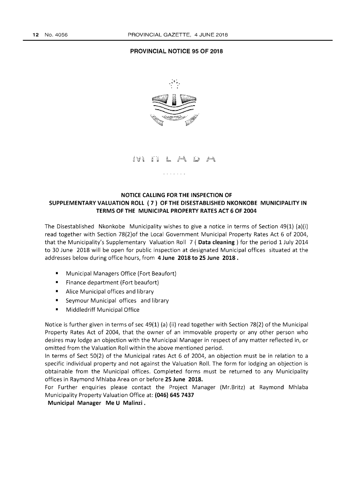#### **PROVINCIAL NOTICE 95 OF 2018**



ivi ii

### **NOTICE CALLING FOR THE INSPECTION OF SUPPLEMENTARY VALUATION ROLL (7) OF THE DISESTABLISHED NKONKOBE MUNICIPALITY IN TERMS OF THE MUNICIPAL PROPERTY RATES ACT 6 OF 2004**

The Disestablished Nkonkobe Municipality wishes to give a notice in terms of Section 49(1) (a)(i) read together with Section 78(2)of the Local Government Municipal Property Rates Act 6 of 2004, that the Municipality's Supplementary Valuation Roll 7 ( **Data cleaning)** for the period 1 July 2014 to 30 June 2018 will be open for public inspection at designated Municipal offices situated at the addresses below during office hours, from **4 June 2018 to 25 June 2018.** 

- Municipal Managers Office (Fort Beaufort)
- Finance department (Fort beaufort)
- Alice Municipal offices and library
- Seymour Municipal offices and library
- Middledriff Municipal Office

Notice is further given in terms of sec 49(1) (a) (ii) read together with Section 78(2) of the Municipal Property Rates Act of 2004, that the owner of an immovable property or any other person who desires may lodge an objection with the Municipal Manager in respect of any matter reflected in, or omitted from the Valuation Roll within the above mentioned period.

In terms of Sect 50(2) of the Municipal rates Act 6 of 2004, an objection must be in relation to a specific individual property and not against the Valuation Roll. The form for lodging an objection is obtainable from the Municipal offices. Completed forms must be returned to any Municipality offices in Raymond Mhlaba Area on or before **25 June 2018.** 

For Further enquiries please contact the Project Manager (Mr.Britz) at Raymond Mhlaba Municipality Property Valuation Office at: **(046) 645 7437** 

**Municipal Manager Me U Malinzi.**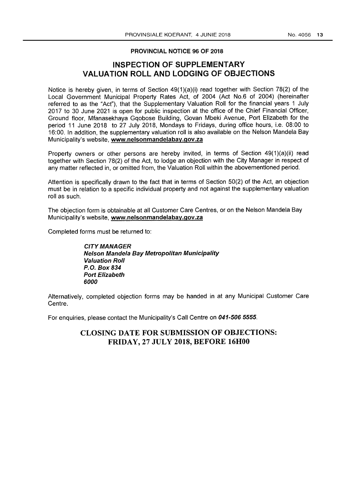#### PROVINCIAL NOTICE 96 OF 2018

## **INSPECTION OF SUPPLEMENTARY VALUATION ROLL AND LODGING OF OBJECTIONS**

Notice is hereby given, in terms of Section  $49(1)(a)(i)$  read together with Section 78(2) of the Local Government Municipal Property Rates Act, of 2004 (Act No.6 of 2004) (hereinafter referred to as the "Act"), that the Supplementary Valuation Roll for the financial years 1 July 2017 to 30 June 2021 is open for public inspection at the office of the Chief Financial Officer, Ground floor, Mfanasekhaya Gqobose Building, Govan Mbeki Avenue, Port Elizabeth for the period 11 June 2018 to 27 July 2018, Mondays to Fridays, during office hours, i.e. 08:00 to 16:00. In addition, the supplementary valuation roll is also available on the Nelson Mandela Bay Municipality's website, www.nelsonmandelabay.gov.za

Property owners or other persons are hereby invited, in terms of Section 49(1)(a)(ii) read together with Section 78(2) of the Act, to lodge an objection with the City Manager in respect of any matter reflected in, or omitted from, the Valuation Roll within the abovementioned period.

Attention is specifically drawn to the fact that in terms of Section 50(2) of the Act, an objection must be in relation to a specific individual property and not against the supplementary valuation roll as such.

The objection form is obtainable at all Customer Care Centres, or on the Nelson Mandela Bay Municipality's website, www.nelsonmandelabay.gov.za

Completed forms must be returned to:

CITY MANAGER Nelson Mandela Bay Metropolitan Municipality Valuation Roll P.O. Box 834 Port Elizabeth *6000* 

Alternatively, completed objection forms may be handed in at any Municipal Customer Care Centre.

For enquiries, please contact the Municipality's Call Centre on 041-506 5555.

## CLOSING DATE FOR SUBMISSION OF OBJECTIONS: FRIDAY, 27 JULY 2018, BEFORE 16HOO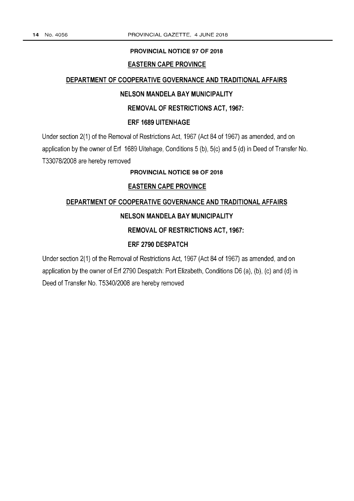#### **PROVINCIAL NOTICE 97 OF 2018**

### **EASTERN CAPE PROVINCE**

#### **DEPARTMENT OF COOPERATIVE GOVERNANCE AND TRADITIONAL AFFAIRS**

### **NELSON MANDELA BAY MUNICIPALITY**

## **REMOVAL OF RESTRICTIONS ACT, 1967:**

#### **ERF 1689 UITENHAGE**

Under section 2(1) of the Removal of Restrictions Act, 1967 (Act 84 of 1967) as amended, and on application by the owner of Erf 1689 Uitehage, Conditions 5 (b), 5(c) and 5 (d) in Deed of Transfer No. T33078/2008 are hereby removed

### **PROVINCIAL NOTICE 98 OF 2018**

## **EASTERN CAPE PROVINCE**

## **DEPARTMENT OF COOPERATIVE GOVERNANCE AND TRADITIONAL AFFAIRS**

## **NELSON MANDELA BAY MUNICIPALITY**

## **REMOVAL OF RESTRICTIONS ACT, 1967:**

## **ERF 2790 DESPATCH**

Under section 2(1) of the Removal of Restrictions Act, 1967 (Act 84 of 1967) as amended, and on application by the owner of Erf 2790 Despatch: Port Elizabeth, Conditions D6 (a), (b), (c) and (d) in Deed of Transfer No. T5340/2008 are hereby removed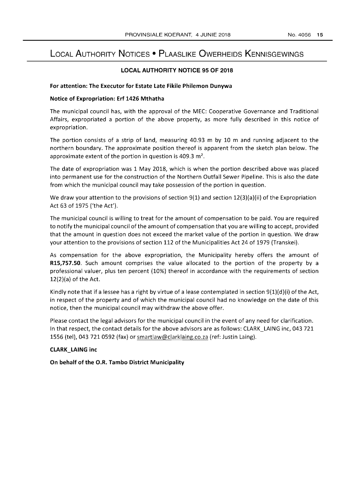# LOCAL AUTHORITY NOTICES • PLAASLIKE OWERHEIDS KENNISGEWINGS

#### **LOCAL AUTHORITY NOTICE 95 OF 2018**

#### **For attention: The Executor for Estate Late Fikile Philemon Dunywa**

#### **Notice of Expropriation: Erf 1426 Mthatha**

The municipal council has, with the approval of the MEC: Cooperative Governance and Traditional Affairs, expropriated a portion of the above property, as more fully described in this notice of expropriation.

The portion consists of a strip of land, measuring 40.93 m by 10 m and running adjacent to the northern boundary. The approximate position thereof is apparent from the sketch plan below. The approximate extent of the portion in question is 409.3  $m<sup>2</sup>$ .

The date of expropriation was 1 May 2018, which is when the portion described above was placed into permanent use for the construction of the Northern Outfall Sewer Pipeline. This is also the date from which the municipal council may take possession of the portion in question.

We draw your attention to the provisions of section 9(1) and section 12(3)(a)(ii) of the Expropriation Act 63 of 1975 ('the Act').

The municipal council is willing to treat for the amount of compensation to be paid. You are required to notify the municipal council of the amount of compensation that you are willing to accept, provided that the amount in question does not exceed the market value of the portion in question. We draw your attention to the provisions of section 112 of the Municipalities Act 24 of 1979 (Transkei).

As compensation for the above expropriation, the Municipality hereby offers the amount of **R15,757.50.** Such amount comprises the value allocated to the portion of the property by a professional valuer, plus ten percent (10%) thereof in accordance with the requirements of section  $12(2)(a)$  of the Act.

Kindly note that if a lessee has a right by virtue of a lease contemplated in section  $9(1)(d)(i)$  of the Act, in respect of the property and of which the municipal council had no knowledge on the date of this notice, then the municipal council may withdraw the above offer.

Please contact the legal advisors for the municipal council in the event of any need for clarification. In that respect, the contact details for the above advisors are as follows: CLARK\_LAING inc, 043 721 1556 (tel), 043 7210592 (fax) or smartlaw@clarklaing.co.za (ref: Justin Laing).

### **CLARK\_LAING inc**

**On behalf of the O.R. Tambo District Municipality**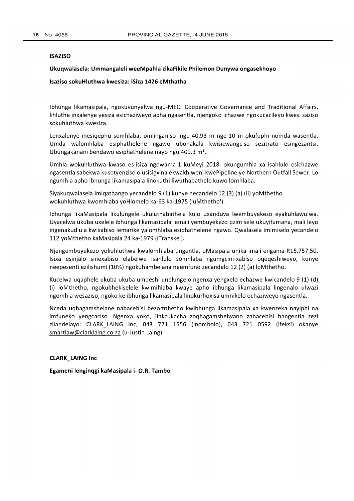#### **ISAZISO**

#### **Ukuqwalasela: Ummangaleli weeMpahla zikaFikile Philemon Dunywa ongasekhoyo**

#### **Isaziso sokuHluthwa kwesiza: iSiza 1426 eMthatha**

Ibhunga likamasipala, ngokuvunyelwa ngu-MEC: Cooperative Governance and Traditional Affairs, lihluthe inxalenye yesiza esichaziweyo apha ngasentla, njengoko ichazwe ngokucacileyo kwesi saziso sokuhluthwa kwesiza.

Lenxalenye inesiqephu somhlaba, omlinganiso ingu-40.93 m nge-10 m okufuphi nomda wasentla. Umda walomhlaba esiphathelene ngawo ubonakala kwisicwangciso sezitrato esingezantsi. Ubungakanani bendawo esiphathelene nayo ngu 409.3 m<sup>2</sup>.

Umhla wokuhluthwa kwaso es-isiza ngowama-1 kuMeyi 2018, okungumhla xa isahlulo esichazwe ngasentla sabekwa kusetyenziso olusisigxina ekwakhiweni kwePipeline ye-Northern Outfall Sewer. Lo ngumhla apho ibhunga likamasipala linokuthi liwuthabathele kuwo lomhlaba.

Siyakuqwalasela imiqathango yecandelo 9 (1) kunye necandelo 12 (3) (a) (ii) yoMthetho wokuhluthwa kwomhlaba yoHlomelo ka-63 ka-1975 ('uMthetho').

Ibhunga likaMasipala likulungele ukuluthabathela kulo uxanduva Iwembuyekezo eyakuhlawulwa. Uyacelwa ukuba uxelele ibhunga likamasipala lemali yembuyekezo ozimisele ukuyifumana, mali leyo ingenakudlula kwixabiso lemarike yalomhlaba esiphathelene ngawo. Qwalasela imimiselo yecandelo 112 yoMthetho kaMasipala 24 ka-1979 (iTranskei).

Njengembuyekezo yokuhluthwa kwalomhlaba ungentla, uMasipala unika imali engama-R15,757.50. Isixa esinjalo sinexabiso elabelwe isahlulo somhlaba ngumgcini-xabiso oqeqeshiweyo, kunye neepesenti ezilishumi (10%) ngokuhambelana neemfuno zecandelo 12 (2) (a) loMthetho.

Kucelwa uqaphele ukuba ukuba umqeshi unelungelo ngenxa yengxelo echazwe kwicandelo 9 (1) (d) (i) loMthetho, ngokubhekiselele kwimihlaba kwaye apho ibhunga likamasipala lingenalo ulwazi ngomhla wesaziso, ngoko ke ibhunga likamasipala linokurhoxisa umnikelo ochaziweyo ngasentla.

Nceda uqhagamshelane nabacebisi bezomthetho kwibhunga likamasipala xa kwenzeka nayiphi na imfuneko yengcaciso. Ngenxa yoko, iinkcukacha zoqhagamshelwano zabacebisi bangentla zezi zilandelayo: CLARK\_LAING Inc, 043 721 1556 (inombolo), 043 721 0592 (ifeksi) okanye smartlaw@clarklaing.co.za (u-Justin Laing).

#### **CLARK\_LAING Inc**

**Egameni lenginqgi kaMasipala i- O.R. Tambo**